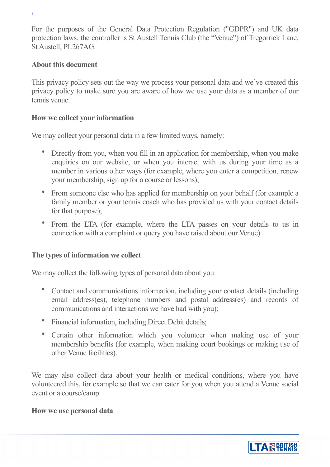For the purposes of the General Data Protection Regulation ("GDPR") and UK data protection laws, the controller is St Austell Tennis Club (the "Venue") of Tregorrick Lane, St Austell, PL267AG.

#### **About this document**

1

This privacy policy sets out the way we process your personal data and we've created this privacy policy to make sure you are aware of how we use your data as a member of our tennis venue.

#### **How we collect your information**

We may collect your personal data in a few limited ways, namely:

- Directly from you, when you fill in an application for membership, when you make enquiries on our website, or when you interact with us during your time as a member in various other ways (for example, where you enter a competition, renew your membership, sign up for a course or lessons);
- From someone else who has applied for membership on your behalf (for example a family member or your tennis coach who has provided us with your contact details for that purpose);
- From the LTA (for example, where the LTA passes on your details to us in connection with a complaint or query you have raised about our Venue).

## **The types of information we collect**

We may collect the following types of personal data about you:

- Contact and communications information, including your contact details (including email address(es), telephone numbers and postal address(es) and records of communications and interactions we have had with you);
- Financial information, including Direct Debit details;
- Certain other information which you volunteer when making use of your membership benefits (for example, when making court bookings or making use of other Venue facilities).

We may also collect data about your health or medical conditions, where you have volunteered this, for example so that we can cater for you when you attend a Venue social event or a course/camp.

#### **How we use personal data**

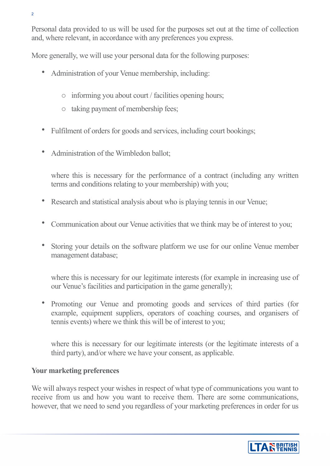Personal data provided to us will be used for the purposes set out at the time of collection and, where relevant, in accordance with any preferences you express.

More generally, we will use your personal data for the following purposes:

- Administration of your Venue membership, including:
	- o informing you about court / facilities opening hours;
	- o taking payment of membership fees;
- Fulfilment of orders for goods and services, including court bookings;
- Administration of the Wimbledon ballot:

where this is necessary for the performance of a contract (including any written terms and conditions relating to your membership) with you;

- Research and statistical analysis about who is playing tennis in our Venue;
- Communication about our Venue activities that we think may be of interest to you;
- Storing your details on the software platform we use for our online Venue member management database;

where this is necessary for our legitimate interests (for example in increasing use of our Venue's facilities and participation in the game generally);

• Promoting our Venue and promoting goods and services of third parties (for example, equipment suppliers, operators of coaching courses, and organisers of tennis events) where we think this will be of interest to you;

where this is necessary for our legitimate interests (or the legitimate interests of a third party), and/or where we have your consent, as applicable.

#### **Your marketing preferences**

We will always respect your wishes in respect of what type of communications you want to receive from us and how you want to receive them. There are some communications, however, that we need to send you regardless of your marketing preferences in order for us

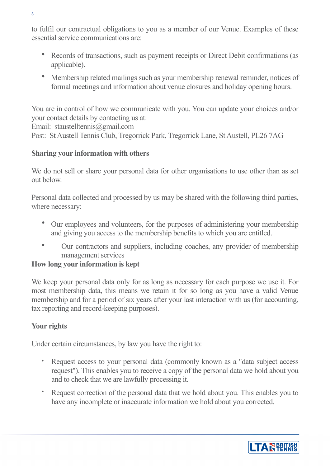to fulfil our contractual obligations to you as a member of our Venue. Examples of these essential service communications are:

- Records of transactions, such as payment receipts or Direct Debit confirmations (as applicable).
- Membership related mailings such as your membership renewal reminder, notices of formal meetings and information about venue closures and holiday opening hours.

You are in control of how we communicate with you. You can update your choices and/or your contact details by contacting us at:

Email: staustelltennis@gmail.com

Post: St Austell Tennis Club, Tregorrick Park, Tregorrick Lane, St Austell, PL26 7AG

# **Sharing your information with others**

We do not sell or share your personal data for other organisations to use other than as set out below.

Personal data collected and processed by us may be shared with the following third parties, where necessary:

- Our employees and volunteers, for the purposes of administering your membership and giving you access to the membership benefits to which you are entitled.
- Our contractors and suppliers, including coaches, any provider of membership management services

## **How long your information is kept**

We keep your personal data only for as long as necessary for each purpose we use it. For most membership data, this means we retain it for so long as you have a valid Venue membership and for a period of six years after your last interaction with us (for accounting, tax reporting and record-keeping purposes).

# **Your rights**

Under certain circumstances, by law you have the right to:

- Request access to your personal data (commonly known as a "data subject access request"). This enables you to receive a copy of the personal data we hold about you and to check that we are lawfully processing it.
- Request correction of the personal data that we hold about you. This enables you to have any incomplete or inaccurate information we hold about you corrected.